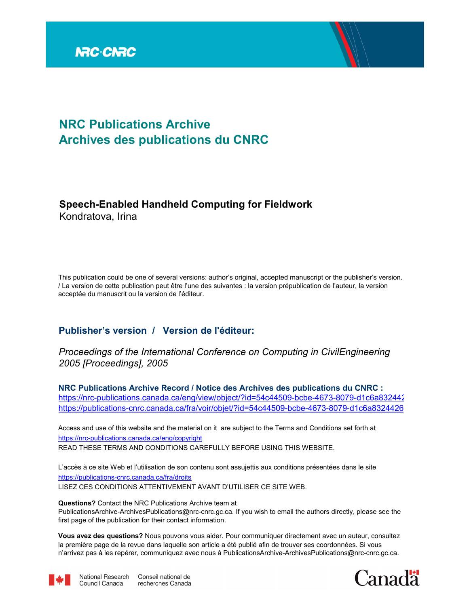

# **NRC Publications Archive Archives des publications du CNRC**

# **Speech-Enabled Handheld Computing for Fieldwork** Kondratova, Irina

This publication could be one of several versions: author's original, accepted manuscript or the publisher's version. / La version de cette publication peut être l'une des suivantes : la version prépublication de l'auteur, la version acceptée du manuscrit ou la version de l'éditeur.

# **Publisher's version / Version de l'éditeur:**

*Proceedings of the International Conference on Computing in CivilEngineering 2005 [Proceedings], 2005*

**NRC Publications Archive Record / Notice des Archives des publications du CNRC :** https://nrc-publications.canada.ca/eng/view/object/?id=54c44509-bcbe-4673-8079-d1c6a8324426 https://publications-cnrc.canada.ca/fra/voir/objet/?id=54c44509-bcbe-4673-8079-d1c6a8324426

READ THESE TERMS AND CONDITIONS CAREFULLY BEFORE USING THIS WEBSITE. https://nrc-publications.canada.ca/eng/copyright Access and use of this website and the material on it are subject to the Terms and Conditions set forth at

https://publications-cnrc.canada.ca/fra/droits L'accès à ce site Web et l'utilisation de son contenu sont assujettis aux conditions présentées dans le site LISEZ CES CONDITIONS ATTENTIVEMENT AVANT D'UTILISER CE SITE WEB.

**Questions?** Contact the NRC Publications Archive team at

PublicationsArchive-ArchivesPublications@nrc-cnrc.gc.ca. If you wish to email the authors directly, please see the first page of the publication for their contact information.

**Vous avez des questions?** Nous pouvons vous aider. Pour communiquer directement avec un auteur, consultez la première page de la revue dans laquelle son article a été publié afin de trouver ses coordonnées. Si vous n'arrivez pas à les repérer, communiquez avec nous à PublicationsArchive-ArchivesPublications@nrc-cnrc.gc.ca.



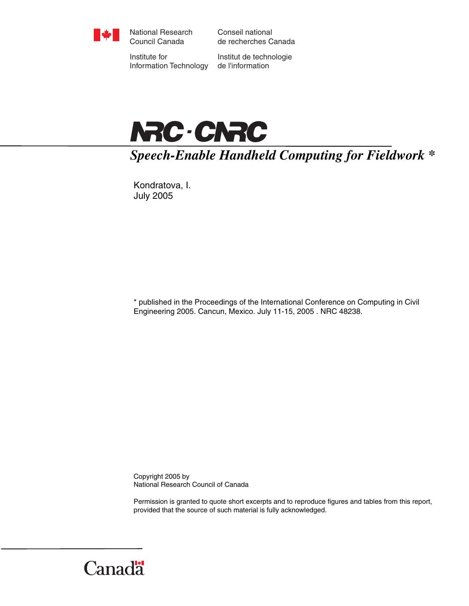

National Research Council Canada

Conseil national de recherches Canada

Institute for Information Technology

Institut de technologie de l'information



*Speech-Enable Handheld Computing for Fieldwork \** 

Kondratova, I. July 2005

\* published in the Proceedings of the International Conference on Computing in Civil Engineering 2005. Cancun, Mexico. July 11-15, 2005 . NRC 48238.

Copyright 2005 by National Research Council of Canada

Permission is granted to quote short excerpts and to reproduce figures and tables from this report, provided that the source of such material is fully acknowledged.

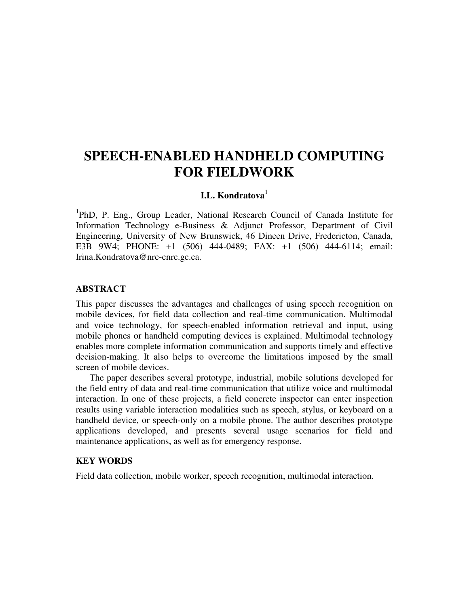# **SPEECH-ENABLED HANDHELD COMPUTING FOR FIELDWORK**

## **I.L. Kondratova**<sup>1</sup>

<sup>1</sup>PhD, P. Eng., Group Leader, National Research Council of Canada Institute for Information Technology e-Business & Adjunct Professor, Department of Civil Engineering, University of New Brunswick, 46 Dineen Drive, Fredericton, Canada, E3B 9W4; PHONE: +1 (506) 444-0489; FAX: +1 (506) 444-6114; email: Irina.Kondratova@nrc-cnrc.gc.ca.

#### **ABSTRACT**

This paper discusses the advantages and challenges of using speech recognition on mobile devices, for field data collection and real-time communication. Multimodal and voice technology, for speech-enabled information retrieval and input, using mobile phones or handheld computing devices is explained. Multimodal technology enables more complete information communication and supports timely and effective decision-making. It also helps to overcome the limitations imposed by the small screen of mobile devices.

The paper describes several prototype, industrial, mobile solutions developed for the field entry of data and real-time communication that utilize voice and multimodal interaction. In one of these projects, a field concrete inspector can enter inspection results using variable interaction modalities such as speech, stylus, or keyboard on a handheld device, or speech-only on a mobile phone. The author describes prototype applications developed, and presents several usage scenarios for field and maintenance applications, as well as for emergency response.

#### **KEY WORDS**

Field data collection, mobile worker, speech recognition, multimodal interaction.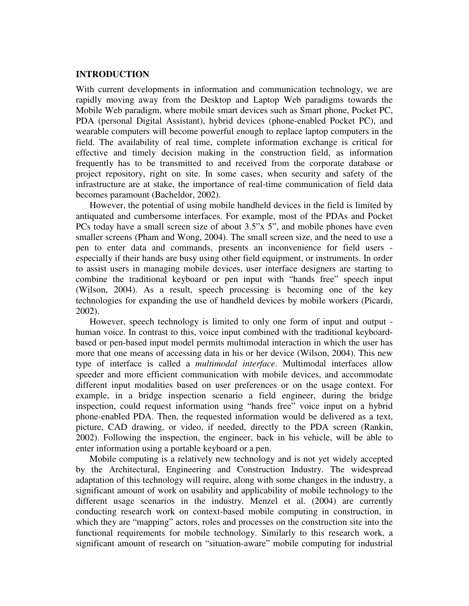#### **INTRODUCTION**

With current developments in information and communication technology, we are rapidly moving away from the Desktop and Laptop Web paradigms towards the Mobile Web paradigm, where mobile smart devices such as Smart phone, Pocket PC, PDA (personal Digital Assistant), hybrid devices (phone-enabled Pocket PC), and wearable computers will become powerful enough to replace laptop computers in the field. The availability of real time, complete information exchange is critical for effective and timely decision making in the construction field, as information frequently has to be transmitted to and received from the corporate database or project repository, right on site. In some cases, when security and safety of the infrastructure are at stake, the importance of real-time communication of field data becomes paramount (Bacheldor, 2002).

However, the potential of using mobile handheld devices in the field is limited by antiquated and cumbersome interfaces. For example, most of the PDAs and Pocket PCs today have a small screen size of about 3.5"x 5", and mobile phones have even smaller screens (Pham and Wong, 2004). The small screen size, and the need to use a pen to enter data and commands, presents an inconvenience for field users especially if their hands are busy using other field equipment, or instruments. In order to assist users in managing mobile devices, user interface designers are starting to combine the traditional keyboard or pen input with "hands free" speech input (Wilson, 2004). As a result, speech processing is becoming one of the key technologies for expanding the use of handheld devices by mobile workers (Picardi, 2002).

However, speech technology is limited to only one form of input and output human voice. In contrast to this, voice input combined with the traditional keyboardbased or pen-based input model permits multimodal interaction in which the user has more that one means of accessing data in his or her device (Wilson, 2004). This new type of interface is called a *multimodal interface*. Multimodal interfaces allow speeder and more efficient communication with mobile devices, and accommodate different input modalities based on user preferences or on the usage context. For example, in a bridge inspection scenario a field engineer, during the bridge inspection, could request information using "hands free" voice input on a hybrid phone-enabled PDA. Then, the requested information would be delivered as a text, picture, CAD drawing, or video, if needed, directly to the PDA screen (Rankin, 2002). Following the inspection, the engineer, back in his vehicle, will be able to enter information using a portable keyboard or a pen.

Mobile computing is a relatively new technology and is not yet widely accepted by the Architectural, Engineering and Construction Industry. The widespread adaptation of this technology will require, along with some changes in the industry, a significant amount of work on usability and applicability of mobile technology to the different usage scenarios in the industry. Menzel et al. (2004) are currently conducting research work on context-based mobile computing in construction, in which they are "mapping" actors, roles and processes on the construction site into the functional requirements for mobile technology. Similarly to this research work, a significant amount of research on "situation-aware" mobile computing for industrial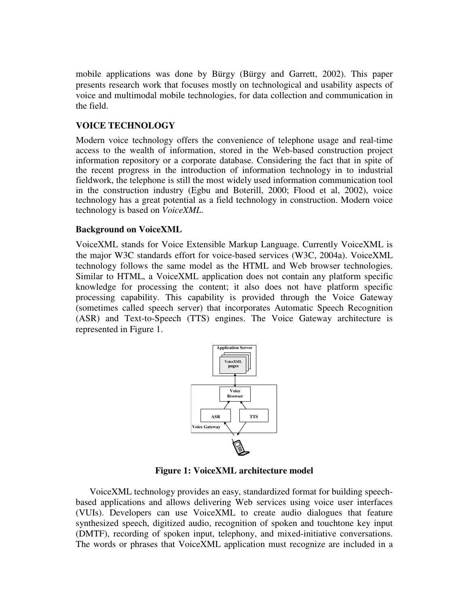mobile applications was done by Bürgy (Bürgy and Garrett, 2002). This paper presents research work that focuses mostly on technological and usability aspects of voice and multimodal mobile technologies, for data collection and communication in the field.

# **VOICE TECHNOLOGY**

Modern voice technology offers the convenience of telephone usage and real-time access to the wealth of information, stored in the Web-based construction project information repository or a corporate database. Considering the fact that in spite of the recent progress in the introduction of information technology in to industrial fieldwork, the telephone is still the most widely used information communication tool in the construction industry (Egbu and Boterill, 2000; Flood et al, 2002), voice technology has a great potential as a field technology in construction. Modern voice technology is based on *VoiceXML*.

# **Background on VoiceXML**

VoiceXML stands for Voice Extensible Markup Language. Currently VoiceXML is the major W3C standards effort for voice-based services (W3C, 2004a). VoiceXML technology follows the same model as the HTML and Web browser technologies. Similar to HTML, a VoiceXML application does not contain any platform specific knowledge for processing the content; it also does not have platform specific processing capability. This capability is provided through the Voice Gateway (sometimes called speech server) that incorporates Automatic Speech Recognition (ASR) and Text-to-Speech (TTS) engines. The Voice Gateway architecture is represented in Figure 1.



**Figure 1: VoiceXML architecture model**

VoiceXML technology provides an easy, standardized format for building speechbased applications and allows delivering Web services using voice user interfaces (VUIs). Developers can use VoiceXML to create audio dialogues that feature synthesized speech, digitized audio, recognition of spoken and touchtone key input (DMTF), recording of spoken input, telephony, and mixed-initiative conversations. The words or phrases that VoiceXML application must recognize are included in a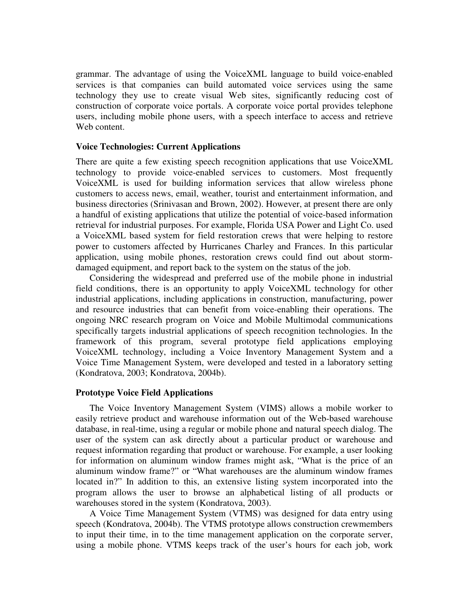grammar. The advantage of using the VoiceXML language to build voice-enabled services is that companies can build automated voice services using the same technology they use to create visual Web sites, significantly reducing cost of construction of corporate voice portals. A corporate voice portal provides telephone users, including mobile phone users, with a speech interface to access and retrieve Web content.

#### **Voice Technologies: Current Applications**

There are quite a few existing speech recognition applications that use VoiceXML technology to provide voice-enabled services to customers. Most frequently VoiceXML is used for building information services that allow wireless phone customers to access news, email, weather, tourist and entertainment information, and business directories (Srinivasan and Brown, 2002). However, at present there are only a handful of existing applications that utilize the potential of voice-based information retrieval for industrial purposes. For example, Florida USA Power and Light Co. used a VoiceXML based system for field restoration crews that were helping to restore power to customers affected by Hurricanes Charley and Frances. In this particular application, using mobile phones, restoration crews could find out about stormdamaged equipment, and report back to the system on the status of the job.

Considering the widespread and preferred use of the mobile phone in industrial field conditions, there is an opportunity to apply VoiceXML technology for other industrial applications, including applications in construction, manufacturing, power and resource industries that can benefit from voice-enabling their operations. The ongoing NRC research program on Voice and Mobile Multimodal communications specifically targets industrial applications of speech recognition technologies. In the framework of this program, several prototype field applications employing VoiceXML technology, including a Voice Inventory Management System and a Voice Time Management System, were developed and tested in a laboratory setting (Kondratova, 2003; Kondratova, 2004b).

#### **Prototype Voice Field Applications**

The Voice Inventory Management System (VIMS) allows a mobile worker to easily retrieve product and warehouse information out of the Web-based warehouse database, in real-time, using a regular or mobile phone and natural speech dialog. The user of the system can ask directly about a particular product or warehouse and request information regarding that product or warehouse. For example, a user looking for information on aluminum window frames might ask, "What is the price of an aluminum window frame?" or "What warehouses are the aluminum window frames located in?" In addition to this, an extensive listing system incorporated into the program allows the user to browse an alphabetical listing of all products or warehouses stored in the system (Kondratova, 2003).

A Voice Time Management System (VTMS) was designed for data entry using speech (Kondratova, 2004b). The VTMS prototype allows construction crewmembers to input their time, in to the time management application on the corporate server, using a mobile phone. VTMS keeps track of the user's hours for each job, work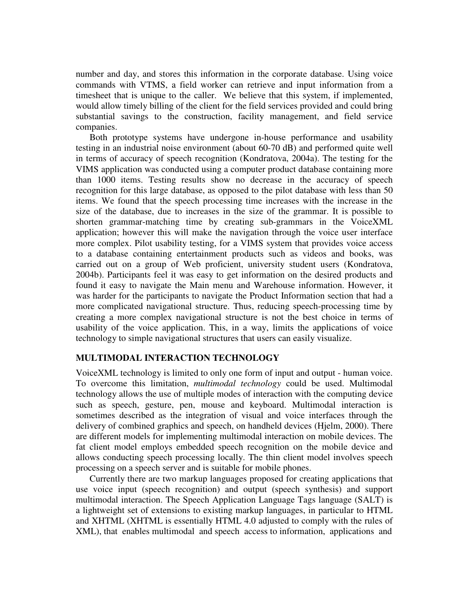number and day, and stores this information in the corporate database. Using voice commands with VTMS, a field worker can retrieve and input information from a timesheet that is unique to the caller. We believe that this system, if implemented, would allow timely billing of the client for the field services provided and could bring substantial savings to the construction, facility management, and field service companies.

Both prototype systems have undergone in-house performance and usability testing in an industrial noise environment (about 60-70 dB) and performed quite well in terms of accuracy of speech recognition (Kondratova, 2004a). The testing for the VIMS application was conducted using a computer product database containing more than 1000 items. Testing results show no decrease in the accuracy of speech recognition for this large database, as opposed to the pilot database with less than 50 items. We found that the speech processing time increases with the increase in the size of the database, due to increases in the size of the grammar. It is possible to shorten grammar-matching time by creating sub-grammars in the VoiceXML application; however this will make the navigation through the voice user interface more complex. Pilot usability testing, for a VIMS system that provides voice access to a database containing entertainment products such as videos and books, was carried out on a group of Web proficient, university student users (Kondratova, 2004b). Participants feel it was easy to get information on the desired products and found it easy to navigate the Main menu and Warehouse information. However, it was harder for the participants to navigate the Product Information section that had a more complicated navigational structure. Thus, reducing speech-processing time by creating a more complex navigational structure is not the best choice in terms of usability of the voice application. This, in a way, limits the applications of voice technology to simple navigational structures that users can easily visualize.

# **MULTIMODAL INTERACTION TECHNOLOGY**

VoiceXML technology is limited to only one form of input and output - human voice. To overcome this limitation, *multimodal technology* could be used. Multimodal technology allows the use of multiple modes of interaction with the computing device such as speech, gesture, pen, mouse and keyboard. Multimodal interaction is sometimes described as the integration of visual and voice interfaces through the delivery of combined graphics and speech, on handheld devices (Hjelm, 2000). There are different models for implementing multimodal interaction on mobile devices. The fat client model employs embedded speech recognition on the mobile device and allows conducting speech processing locally. The thin client model involves speech processing on a speech server and is suitable for mobile phones.

Currently there are two markup languages proposed for creating applications that use voice input (speech recognition) and output (speech synthesis) and support multimodal interaction. The Speech Application Language Tags language (SALT) is a lightweight set of extensions to existing markup languages, in particular to HTML and XHTML (XHTML is essentially HTML 4.0 adjusted to comply with the rules of XML), that enables multimodal and speech access to information, applications and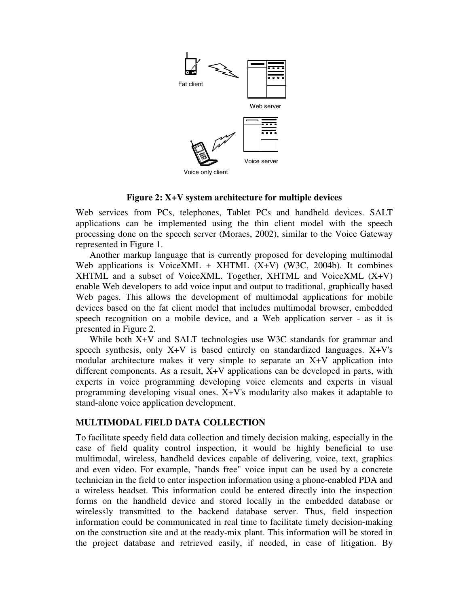

#### **Figure 2: X+V system architecture for multiple devices**

Web services from PCs, telephones, Tablet PCs and handheld devices. SALT applications can be implemented using the thin client model with the speech processing done on the speech server (Moraes, 2002), similar to the Voice Gateway represented in Figure 1.

Another markup language that is currently proposed for developing multimodal Web applications is VoiceXML + XHTML  $(X+V)$  (W3C, 2004b). It combines XHTML and a subset of VoiceXML. Together, XHTML and VoiceXML (X+V) enable Web developers to add voice input and output to traditional, graphically based Web pages. This allows the development of multimodal applications for mobile devices based on the fat client model that includes multimodal browser, embedded speech recognition on a mobile device, and a Web application server - as it is presented in Figure 2.

While both X+V and SALT technologies use W3C standards for grammar and speech synthesis, only X+V is based entirely on standardized languages. X+V's modular architecture makes it very simple to separate an X+V application into different components. As a result, X+V applications can be developed in parts, with experts in voice programming developing voice elements and experts in visual programming developing visual ones. X+V's modularity also makes it adaptable to stand-alone voice application development.

# **MULTIMODAL FIELD DATA COLLECTION**

To facilitate speedy field data collection and timely decision making, especially in the case of field quality control inspection, it would be highly beneficial to use multimodal, wireless, handheld devices capable of delivering, voice, text, graphics and even video. For example, "hands free" voice input can be used by a concrete technician in the field to enter inspection information using a phone-enabled PDA and a wireless headset. This information could be entered directly into the inspection forms on the handheld device and stored locally in the embedded database or wirelessly transmitted to the backend database server. Thus, field inspection information could be communicated in real time to facilitate timely decision-making on the construction site and at the ready-mix plant. This information will be stored in the project database and retrieved easily, if needed, in case of litigation. By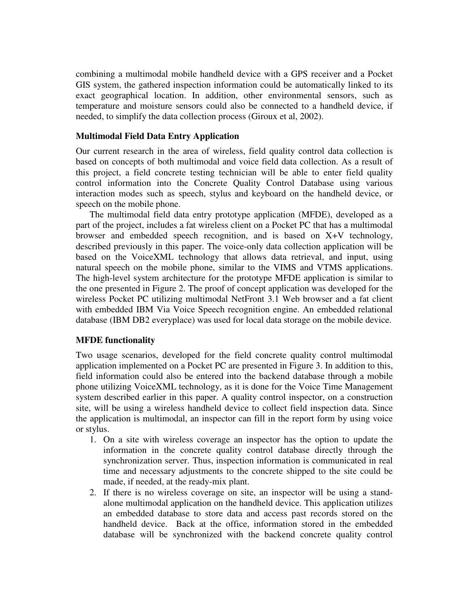combining a multimodal mobile handheld device with a GPS receiver and a Pocket GIS system, the gathered inspection information could be automatically linked to its exact geographical location. In addition, other environmental sensors, such as temperature and moisture sensors could also be connected to a handheld device, if needed, to simplify the data collection process (Giroux et al, 2002).

## **Multimodal Field Data Entry Application**

Our current research in the area of wireless, field quality control data collection is based on concepts of both multimodal and voice field data collection. As a result of this project, a field concrete testing technician will be able to enter field quality control information into the Concrete Quality Control Database using various interaction modes such as speech, stylus and keyboard on the handheld device, or speech on the mobile phone.

The multimodal field data entry prototype application (MFDE), developed as a part of the project, includes a fat wireless client on a Pocket PC that has a multimodal browser and embedded speech recognition, and is based on X+V technology, described previously in this paper. The voice-only data collection application will be based on the VoiceXML technology that allows data retrieval, and input, using natural speech on the mobile phone, similar to the VIMS and VTMS applications. The high-level system architecture for the prototype MFDE application is similar to the one presented in Figure 2. The proof of concept application was developed for the wireless Pocket PC utilizing multimodal NetFront 3.1 Web browser and a fat client with embedded IBM Via Voice Speech recognition engine. An embedded relational database (IBM DB2 everyplace) was used for local data storage on the mobile device.

# **MFDE functionality**

Two usage scenarios, developed for the field concrete quality control multimodal application implemented on a Pocket PC are presented in Figure 3. In addition to this, field information could also be entered into the backend database through a mobile phone utilizing VoiceXML technology, as it is done for the Voice Time Management system described earlier in this paper. A quality control inspector, on a construction site, will be using a wireless handheld device to collect field inspection data. Since the application is multimodal, an inspector can fill in the report form by using voice or stylus.

- 1. On a site with wireless coverage an inspector has the option to update the information in the concrete quality control database directly through the synchronization server. Thus, inspection information is communicated in real time and necessary adjustments to the concrete shipped to the site could be made, if needed, at the ready-mix plant.
- 2. If there is no wireless coverage on site, an inspector will be using a standalone multimodal application on the handheld device. This application utilizes an embedded database to store data and access past records stored on the handheld device. Back at the office, information stored in the embedded database will be synchronized with the backend concrete quality control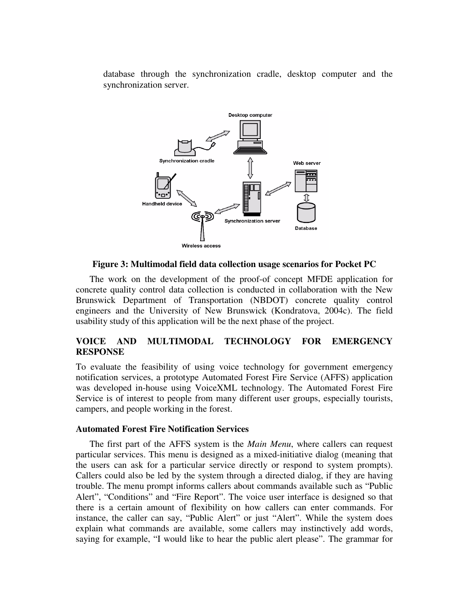database through the synchronization cradle, desktop computer and the synchronization server.



**Figure 3: Multimodal field data collection usage scenarios for Pocket PC**

The work on the development of the proof-of concept MFDE application for concrete quality control data collection is conducted in collaboration with the New Brunswick Department of Transportation (NBDOT) concrete quality control engineers and the University of New Brunswick (Kondratova, 2004c). The field usability study of this application will be the next phase of the project.

# **VOICE AND MULTIMODAL TECHNOLOGY FOR EMERGENCY RESPONSE**

To evaluate the feasibility of using voice technology for government emergency notification services, a prototype Automated Forest Fire Service (AFFS) application was developed in-house using VoiceXML technology. The Automated Forest Fire Service is of interest to people from many different user groups, especially tourists, campers, and people working in the forest.

#### **Automated Forest Fire Notification Services**

The first part of the AFFS system is the *Main Menu*, where callers can request particular services. This menu is designed as a mixed-initiative dialog (meaning that the users can ask for a particular service directly or respond to system prompts). Callers could also be led by the system through a directed dialog, if they are having trouble. The menu prompt informs callers about commands available such as "Public Alert", "Conditions" and "Fire Report". The voice user interface is designed so that there is a certain amount of flexibility on how callers can enter commands. For instance, the caller can say, "Public Alert" or just "Alert". While the system does explain what commands are available, some callers may instinctively add words, saying for example, "I would like to hear the public alert please". The grammar for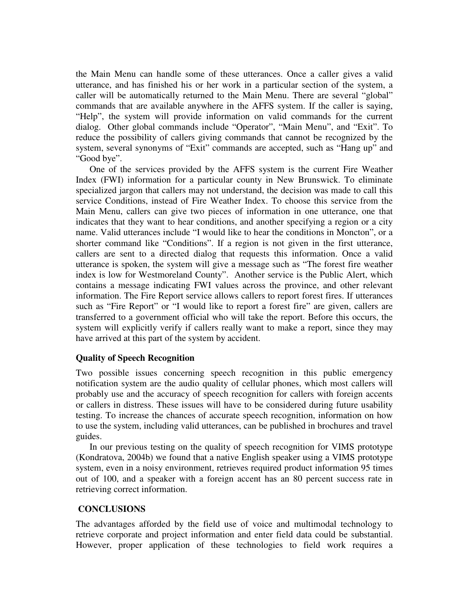the Main Menu can handle some of these utterances. Once a caller gives a valid utterance, and has finished his or her work in a particular section of the system, a caller will be automatically returned to the Main Menu. There are several "global" commands that are available anywhere in the AFFS system. If the caller is saying, "Help", the system will provide information on valid commands for the current dialog. Other global commands include "Operator", "Main Menu", and "Exit". To reduce the possibility of callers giving commands that cannot be recognized by the system, several synonyms of "Exit" commands are accepted, such as "Hang up" and "Good bye".

One of the services provided by the AFFS system is the current Fire Weather Index (FWI) information for a particular county in New Brunswick. To eliminate specialized jargon that callers may not understand, the decision was made to call this service Conditions, instead of Fire Weather Index. To choose this service from the Main Menu, callers can give two pieces of information in one utterance, one that indicates that they want to hear conditions, and another specifying a region or a city name. Valid utterances include "I would like to hear the conditions in Moncton", or a shorter command like "Conditions". If a region is not given in the first utterance, callers are sent to a directed dialog that requests this information. Once a valid utterance is spoken, the system will give a message such as "The forest fire weather index is low for Westmoreland County". Another service is the Public Alert, which contains a message indicating FWI values across the province, and other relevant information. The Fire Report service allows callers to report forest fires. If utterances such as "Fire Report" or "I would like to report a forest fire" are given, callers are transferred to a government official who will take the report. Before this occurs, the system will explicitly verify if callers really want to make a report, since they may have arrived at this part of the system by accident.

#### **Quality of Speech Recognition**

Two possible issues concerning speech recognition in this public emergency notification system are the audio quality of cellular phones, which most callers will probably use and the accuracy of speech recognition for callers with foreign accents or callers in distress. These issues will have to be considered during future usability testing. To increase the chances of accurate speech recognition, information on how to use the system, including valid utterances, can be published in brochures and travel guides.

In our previous testing on the quality of speech recognition for VIMS prototype (Kondratova, 2004b) we found that a native English speaker using a VIMS prototype system, even in a noisy environment, retrieves required product information 95 times out of 100, and a speaker with a foreign accent has an 80 percent success rate in retrieving correct information.

#### **CONCLUSIONS**

The advantages afforded by the field use of voice and multimodal technology to retrieve corporate and project information and enter field data could be substantial. However, proper application of these technologies to field work requires a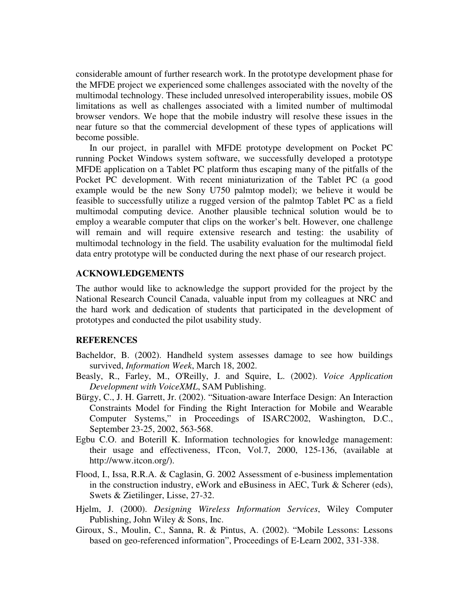considerable amount of further research work. In the prototype development phase for the MFDE project we experienced some challenges associated with the novelty of the multimodal technology. These included unresolved interoperability issues, mobile OS limitations as well as challenges associated with a limited number of multimodal browser vendors. We hope that the mobile industry will resolve these issues in the near future so that the commercial development of these types of applications will become possible.

In our project, in parallel with MFDE prototype development on Pocket PC running Pocket Windows system software, we successfully developed a prototype MFDE application on a Tablet PC platform thus escaping many of the pitfalls of the Pocket PC development. With recent miniaturization of the Tablet PC (a good example would be the new Sony U750 palmtop model); we believe it would be feasible to successfully utilize a rugged version of the palmtop Tablet PC as a field multimodal computing device. Another plausible technical solution would be to employ a wearable computer that clips on the worker's belt. However, one challenge will remain and will require extensive research and testing: the usability of multimodal technology in the field. The usability evaluation for the multimodal field data entry prototype will be conducted during the next phase of our research project.

# **ACKNOWLEDGEMENTS**

The author would like to acknowledge the support provided for the project by the National Research Council Canada, valuable input from my colleagues at NRC and the hard work and dedication of students that participated in the development of prototypes and conducted the pilot usability study.

#### **REFERENCES**

- Bacheldor, B. (2002). Handheld system assesses damage to see how buildings survived, *Information Week*, March 18, 2002.
- Beasly, R., Farley, M., O'Reilly, J. and Squire, L. (2002). *Voice Application Development with VoiceXML*, SAM Publishing.
- Bürgy, C., J. H. Garrett, Jr. (2002). "Situation-aware Interface Design: An Interaction Constraints Model for Finding the Right Interaction for Mobile and Wearable Computer Systems," in Proceedings of ISARC2002, Washington, D.C., September 23-25, 2002, 563-568.
- Egbu C.O. and Boterill K. Information technologies for knowledge management: their usage and effectiveness, ITcon, Vol.7, 2000, 125-136, (available at http://www.itcon.org/).
- Flood, I., Issa, R.R.A. & Caglasin, G. 2002 Assessment of e-business implementation in the construction industry, eWork and eBusiness in AEC, Turk & Scherer (eds), Swets & Zietilinger, Lisse, 27-32.
- Hjelm, J. (2000). *Designing Wireless Information Services*, Wiley Computer Publishing, John Wiley & Sons, Inc.
- Giroux, S., Moulin, C., Sanna, R. & Pintus, A. (2002). "Mobile Lessons: Lessons based on geo-referenced information", Proceedings of E-Learn 2002, 331-338.